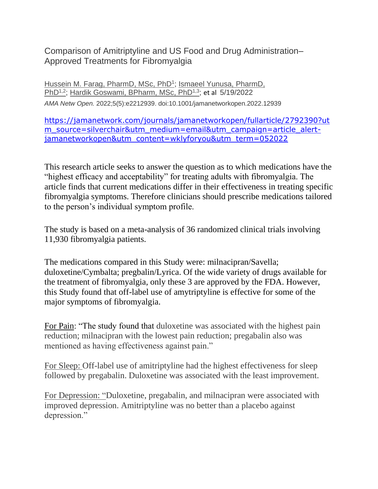Comparison of Amitriptyline and US Food and Drug Administration– Approved Treatments for Fibromyalgia

Hussein M. Farag, [PharmD, MSc, PhD](https://jamanetwork.com/searchresults?author=Hussein+M.+Farag&q=Hussein+M.+Farag)<sup>1</sup>; Ismaeel Yunusa, PharmD, [PhD](https://jamanetwork.com/searchresults?author=Ismaeel+Yunusa&q=Ismaeel+Yunusa)<sup>1,2</sup>; Hardik Goswami, [BPharm, MSc, PhD](https://jamanetwork.com/searchresults?author=Hardik+Goswami&q=Hardik+Goswami)<sup>1,3</sup>; et al 5/19/2022 *AMA Netw Open.* 2022;5(5):e2212939. doi:10.1001/jamanetworkopen.2022.12939

[https://jamanetwork.com/journals/jamanetworkopen/fullarticle/2792390?ut](https://jamanetwork.com/journals/jamanetworkopen/fullarticle/2792390?utm_source=silverchair&utm_medium=email&utm_campaign=article_alert-jamanetworkopen&utm_content=wklyforyou&utm_term=052022) m source=silverchair&utm medium=email&utm campaign=article alert[jamanetworkopen&utm\\_content=wklyforyou&utm\\_term=052022](https://jamanetwork.com/journals/jamanetworkopen/fullarticle/2792390?utm_source=silverchair&utm_medium=email&utm_campaign=article_alert-jamanetworkopen&utm_content=wklyforyou&utm_term=052022)

This research article seeks to answer the question as to which medications have the "highest efficacy and acceptability" for treating adults with fibromyalgia. The article finds that current medications differ in their effectiveness in treating specific fibromyalgia symptoms. Therefore clinicians should prescribe medications tailored to the person's individual symptom profile.

The study is based on a meta-analysis of 36 randomized clinical trials involving 11,930 fibromyalgia patients.

The medications compared in this Study were: milnacipran/Savella; duloxetine/Cymbalta; pregbalin/Lyrica. Of the wide variety of drugs available for the treatment of fibromyalgia, only these 3 are approved by the FDA. However, this Study found that off-label use of amytriptyline is effective for some of the major symptoms of fibromyalgia.

For Pain: "The study found that duloxetine was associated with the highest pain reduction; milnacipran with the lowest pain reduction; pregabalin also was mentioned as having effectiveness against pain."

For Sleep: Off-label use of amitriptyline had the highest effectiveness for sleep followed by pregabalin. Duloxetine was associated with the least improvement.

For Depression: "Duloxetine, pregabalin, and milnacipran were associated with improved depression. Amitriptyline was no better than a placebo against depression."